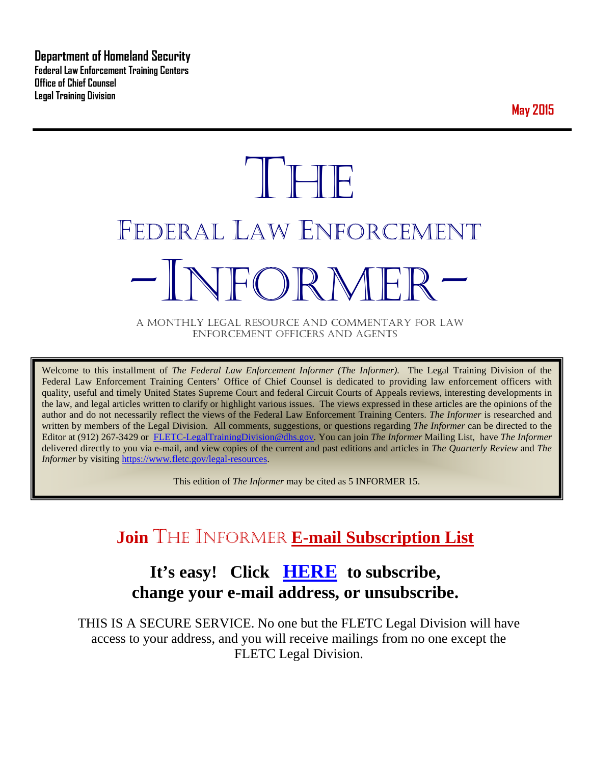**Department of Homeland Security Federal Law Enforcement Training Centers Office of Chief Counsel Legal Training Division** 

**May 2015**

# **THE** FEDERAL LAW ENFORCEMENT -INFORMER- A MONTHLY LEGAL RESOURCE AND COMMENTARY FOR LAW

ENFORCEMENT OFFICERS AND AGENTS

Welcome to this installment of *The Federal Law Enforcement Informer (The Informer).* The Legal Training Division of the Federal Law Enforcement Training Centers' Office of Chief Counsel is dedicated to providing law enforcement officers with quality, useful and timely United States Supreme Court and federal Circuit Courts of Appeals reviews, interesting developments in the law, and legal articles written to clarify or highlight various issues. The views expressed in these articles are the opinions of the author and do not necessarily reflect the views of the Federal Law Enforcement Training Centers. *The Informer* is researched and written by members of the Legal Division. All comments, suggestions, or questions regarding *The Informer* can be directed to the Editor at (912) 267-3429 or [FLETC-LegalTrainingDivision@dhs.gov.](mailto:FLETC-LegalTrainingDivision@dhs.gov) You can join *The Informer* Mailing List, have *The Informer* delivered directly to you via e-mail, and view copies of the current and past editions and articles in *The Quarterly Review* and *The Informer* by visiting [https://www.fletc.gov/legal-resources.](https://www.fletc.gov/legal-resources)

This edition of *The Informer* may be cited as 5 INFORMER 15.

# **Join** THE INFORMER **E-mail Subscription List**

# **It's easy! Click [HERE](http://peach.ease.lsoft.com/scripts/wa.exe?SUBED1=fletclgd&A=1) to subscribe, change your e-mail address, or unsubscribe.**

THIS IS A SECURE SERVICE. No one but the FLETC Legal Division will have access to your address, and you will receive mailings from no one except the FLETC Legal Division.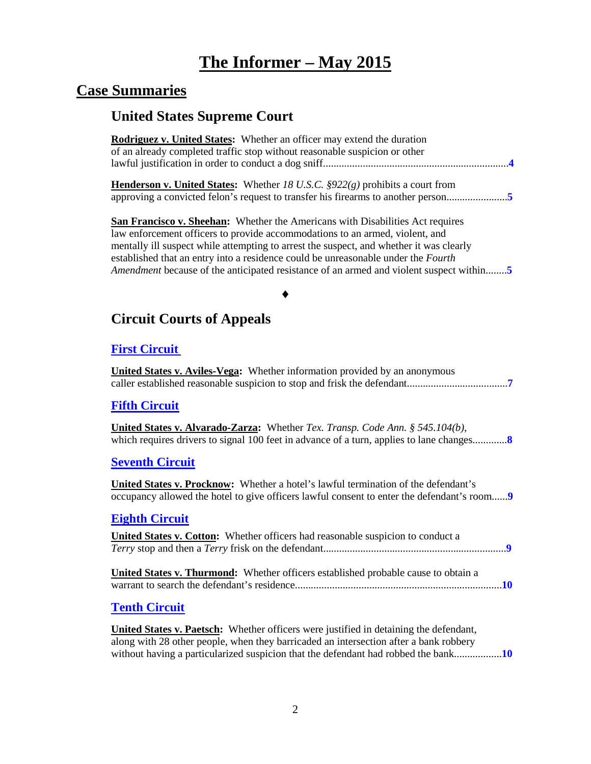# **The Informer – May 2015**

# **Case Summaries**

# **United States Supreme Court**

| <b>Rodriguez v. United States:</b> Whether an officer may extend the duration<br>of an already completed traffic stop without reasonable suspicion or other                                                                                                                                                                                                                                                                                     |
|-------------------------------------------------------------------------------------------------------------------------------------------------------------------------------------------------------------------------------------------------------------------------------------------------------------------------------------------------------------------------------------------------------------------------------------------------|
| <b>Henderson v. United States:</b> Whether 18 U.S.C. $\S922(g)$ prohibits a court from<br>approving a convicted felon's request to transfer his firearms to another person5                                                                                                                                                                                                                                                                     |
| San Francisco v. Sheehan: Whether the Americans with Disabilities Act requires<br>law enforcement officers to provide accommodations to an armed, violent, and<br>mentally ill suspect while attempting to arrest the suspect, and whether it was clearly<br>established that an entry into a residence could be unreasonable under the Fourth<br><i>Amendment</i> because of the anticipated resistance of an armed and violent suspect within |
|                                                                                                                                                                                                                                                                                                                                                                                                                                                 |
| <b>Circuit Courts of Appeals</b>                                                                                                                                                                                                                                                                                                                                                                                                                |
| <b>First Circuit</b>                                                                                                                                                                                                                                                                                                                                                                                                                            |
| United States v. Aviles-Vega: Whether information provided by an anonymous                                                                                                                                                                                                                                                                                                                                                                      |
| <b>Fifth Circuit</b>                                                                                                                                                                                                                                                                                                                                                                                                                            |
| <b>United States v. Alvarado-Zarza:</b> Whether Tex. Transp. Code Ann. $\S$ 545.104(b),                                                                                                                                                                                                                                                                                                                                                         |
| <b>Seventh Circuit</b>                                                                                                                                                                                                                                                                                                                                                                                                                          |
| United States v. Procknow: Whether a hotel's lawful termination of the defendant's<br>occupancy allowed the hotel to give officers lawful consent to enter the defendant's room                                                                                                                                                                                                                                                                 |
| <b>Eighth Circuit</b>                                                                                                                                                                                                                                                                                                                                                                                                                           |
| <b>United States v. Cotton:</b> Whether officers had reasonable suspicion to conduct a                                                                                                                                                                                                                                                                                                                                                          |
| United States v. Thurmond: Whether officers established probable cause to obtain a                                                                                                                                                                                                                                                                                                                                                              |
| <b>Tenth Circuit</b>                                                                                                                                                                                                                                                                                                                                                                                                                            |
| United States v. Paetsch: Whether officers were justified in detaining the defendant,<br>along with 28 other people, when they barricaded an intersection after a bank robbery                                                                                                                                                                                                                                                                  |

without having a particularized suspicion that the defendant had robbed the bank..................**[10](#page-9-2)**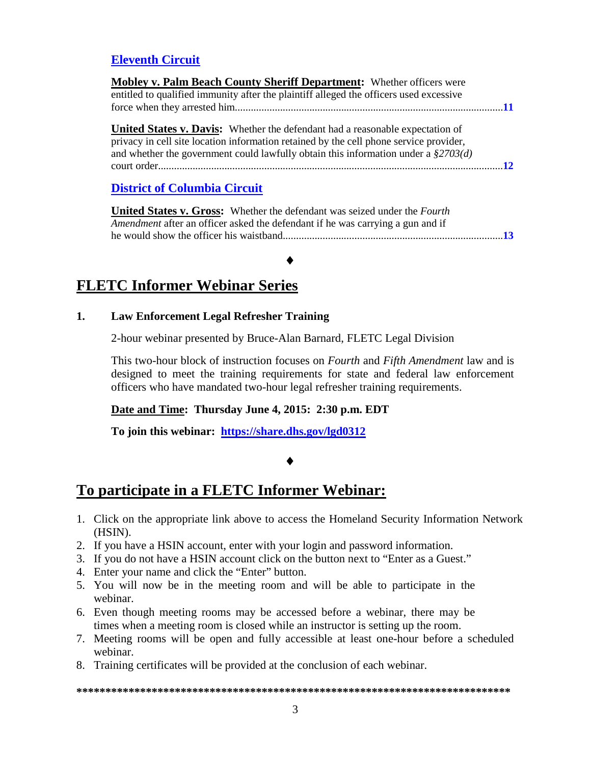### **[Eleventh Circuit](#page-10-0)**

| Mobley v. Palm Beach County Sheriff Department: Whether officers were                                                                                                                                                                                                   |  |
|-------------------------------------------------------------------------------------------------------------------------------------------------------------------------------------------------------------------------------------------------------------------------|--|
| entitled to qualified immunity after the plaintiff alleged the officers used excessive                                                                                                                                                                                  |  |
|                                                                                                                                                                                                                                                                         |  |
| <b>United States v. Davis:</b> Whether the defendant had a reasonable expectation of<br>privacy in cell site location information retained by the cell phone service provider,<br>and whether the government could lawfully obtain this information under a $\S2703(d)$ |  |
|                                                                                                                                                                                                                                                                         |  |
| <b>District of Columbia Circuit</b>                                                                                                                                                                                                                                     |  |

### **United States v. Gross:** Whether the defendant was seized under the *Fourth Amendment* after an officer asked the defendant if he was carrying a gun and if he would show the officer his waistband...................................................................................**[13](#page-12-1)**

### ♦

# **FLETC Informer Webinar Series**

#### **1. Law Enforcement Legal Refresher Training**

2-hour webinar presented by Bruce-Alan Barnard, FLETC Legal Division

This two-hour block of instruction focuses on *Fourth* and *Fifth Amendment* law and is designed to meet the training requirements for state and federal law enforcement officers who have mandated two-hour legal refresher training requirements.

#### **Date and Time: Thursday June 4, 2015: 2:30 p.m. EDT**

**To join this webinar: <https://share.dhs.gov/lgd0312>**

### ♦

### **To participate in a FLETC Informer Webinar:**

- 1. Click on the appropriate link above to access the Homeland Security Information Network (HSIN).
- 2. If you have a HSIN account, enter with your login and password information.
- 3. If you do not have a HSIN account click on the button next to "Enter as a Guest."
- 4. Enter your name and click the "Enter" button.
- 5. You will now be in the meeting room and will be able to participate in the webinar.
- 6. Even though meeting rooms may be accessed before a webinar, there may be times when a meeting room is closed while an instructor is setting up the room.
- 7. Meeting rooms will be open and fully accessible at least one-hour before a scheduled webinar.
- 8. Training certificates will be provided at the conclusion of each webinar.

#### **\*\*\*\*\*\*\*\*\*\*\*\*\*\*\*\*\*\*\*\*\*\*\*\*\*\*\*\*\*\*\*\*\*\*\*\*\*\*\*\*\*\*\*\*\*\*\*\*\*\*\*\*\*\*\*\*\*\*\*\*\*\*\*\*\*\*\*\*\*\*\*\*\*\*\***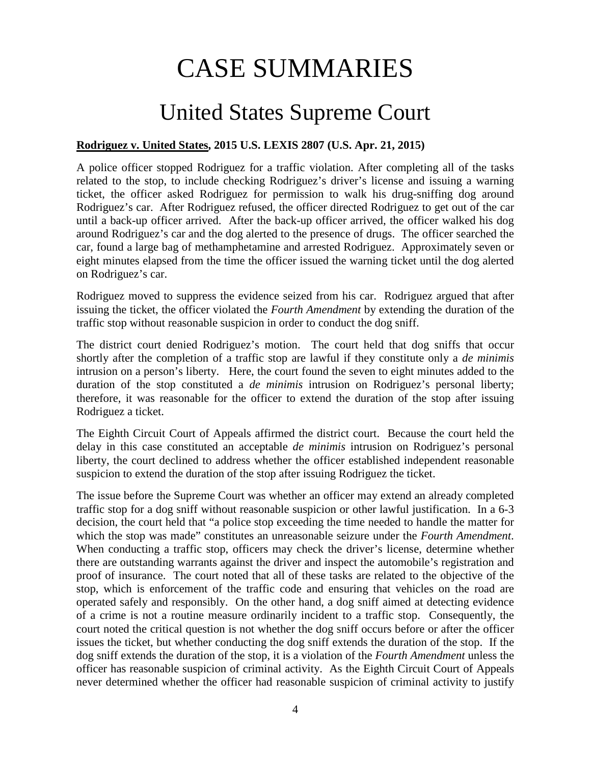# CASE SUMMARIES

# United States Supreme Court

### <span id="page-3-1"></span><span id="page-3-0"></span>**Rodriguez v. United States, 2015 U.S. LEXIS 2807 (U.S. Apr. 21, 2015)**

A police officer stopped Rodriguez for a traffic violation. After completing all of the tasks related to the stop, to include checking Rodriguez's driver's license and issuing a warning ticket, the officer asked Rodriguez for permission to walk his drug-sniffing dog around Rodriguez's car. After Rodriguez refused, the officer directed Rodriguez to get out of the car until a back-up officer arrived. After the back-up officer arrived, the officer walked his dog around Rodriguez's car and the dog alerted to the presence of drugs. The officer searched the car, found a large bag of methamphetamine and arrested Rodriguez. Approximately seven or eight minutes elapsed from the time the officer issued the warning ticket until the dog alerted on Rodriguez's car.

Rodriguez moved to suppress the evidence seized from his car. Rodriguez argued that after issuing the ticket, the officer violated the *Fourth Amendment* by extending the duration of the traffic stop without reasonable suspicion in order to conduct the dog sniff.

The district court denied Rodriguez's motion. The court held that dog sniffs that occur shortly after the completion of a traffic stop are lawful if they constitute only a *de minimis* intrusion on a person's liberty. Here, the court found the seven to eight minutes added to the duration of the stop constituted a *de minimis* intrusion on Rodriguez's personal liberty; therefore, it was reasonable for the officer to extend the duration of the stop after issuing Rodriguez a ticket.

The Eighth Circuit Court of Appeals affirmed the district court. Because the court held the delay in this case constituted an acceptable *de minimis* intrusion on Rodriguez's personal liberty, the court declined to address whether the officer established independent reasonable suspicion to extend the duration of the stop after issuing Rodriguez the ticket.

The issue before the Supreme Court was whether an officer may extend an already completed traffic stop for a dog sniff without reasonable suspicion or other lawful justification. In a 6-3 decision, the court held that "a police stop exceeding the time needed to handle the matter for which the stop was made" constitutes an unreasonable seizure under the *Fourth Amendment*. When conducting a traffic stop, officers may check the driver's license, determine whether there are outstanding warrants against the driver and inspect the automobile's registration and proof of insurance. The court noted that all of these tasks are related to the objective of the stop, which is enforcement of the traffic code and ensuring that vehicles on the road are operated safely and responsibly. On the other hand, a dog sniff aimed at detecting evidence of a crime is not a routine measure ordinarily incident to a traffic stop. Consequently, the court noted the critical question is not whether the dog sniff occurs before or after the officer issues the ticket, but whether conducting the dog sniff extends the duration of the stop. If the dog sniff extends the duration of the stop, it is a violation of the *Fourth Amendment* unless the officer has reasonable suspicion of criminal activity. As the Eighth Circuit Court of Appeals never determined whether the officer had reasonable suspicion of criminal activity to justify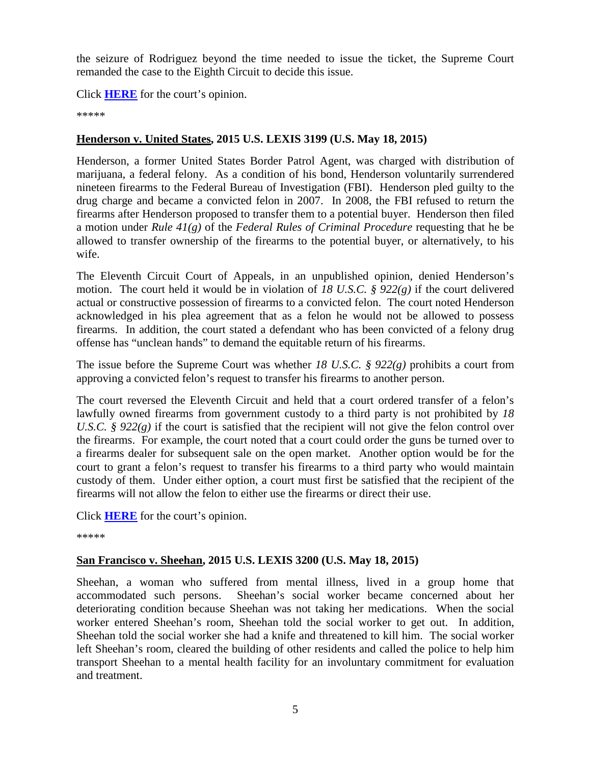the seizure of Rodriguez beyond the time needed to issue the ticket, the Supreme Court remanded the case to the Eighth Circuit to decide this issue.

Click **[HERE](https://supreme.justia.com/cases/federal/us/575/13-9972/case.pdf)** for the court's opinion.

\*\*\*\*\*

### <span id="page-4-0"></span>**Henderson v. United States, 2015 U.S. LEXIS 3199 (U.S. May 18, 2015)**

Henderson, a former United States Border Patrol Agent, was charged with distribution of marijuana, a federal felony. As a condition of his bond, Henderson voluntarily surrendered nineteen firearms to the Federal Bureau of Investigation (FBI). Henderson pled guilty to the drug charge and became a convicted felon in 2007. In 2008, the FBI refused to return the firearms after Henderson proposed to transfer them to a potential buyer. Henderson then filed a motion under *Rule 41(g)* of the *Federal Rules of Criminal Procedure* requesting that he be allowed to transfer ownership of the firearms to the potential buyer, or alternatively, to his wife.

The Eleventh Circuit Court of Appeals, in an unpublished opinion, denied Henderson's motion. The court held it would be in violation of *18 U.S.C. § 922(g)* if the court delivered actual or constructive possession of firearms to a convicted felon. The court noted Henderson acknowledged in his plea agreement that as a felon he would not be allowed to possess firearms. In addition, the court stated a defendant who has been convicted of a felony drug offense has "unclean hands" to demand the equitable return of his firearms.

The issue before the Supreme Court was whether *18 U.S.C. § 922(g)* prohibits a court from approving a convicted felon's request to transfer his firearms to another person.

The court reversed the Eleventh Circuit and held that a court ordered transfer of a felon's lawfully owned firearms from government custody to a third party is not prohibited by *18 U.S.C.* §  $922(g)$  if the court is satisfied that the recipient will not give the felon control over the firearms. For example, the court noted that a court could order the guns be turned over to a firearms dealer for subsequent sale on the open market. Another option would be for the court to grant a felon's request to transfer his firearms to a third party who would maintain custody of them. Under either option, a court must first be satisfied that the recipient of the firearms will not allow the felon to either use the firearms or direct their use.

Click **[HERE](https://supreme.justia.com/cases/federal/us/575/13-1487/case.pdf)** for the court's opinion.

\*\*\*\*\*

### <span id="page-4-1"></span>**San Francisco v. Sheehan, 2015 U.S. LEXIS 3200 (U.S. May 18, 2015)**

Sheehan, a woman who suffered from mental illness, lived in a group home that accommodated such persons. Sheehan's social worker became concerned about her deteriorating condition because Sheehan was not taking her medications. When the social worker entered Sheehan's room, Sheehan told the social worker to get out. In addition, Sheehan told the social worker she had a knife and threatened to kill him. The social worker left Sheehan's room, cleared the building of other residents and called the police to help him transport Sheehan to a mental health facility for an involuntary commitment for evaluation and treatment.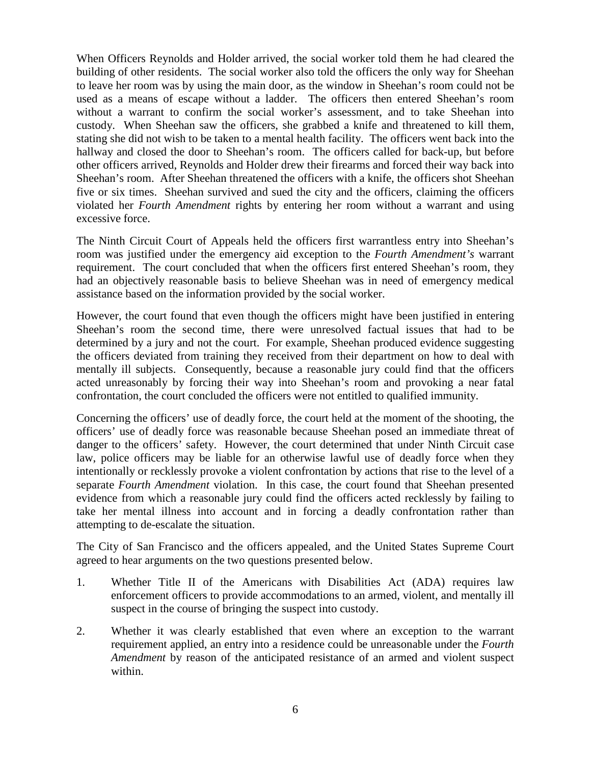When Officers Reynolds and Holder arrived, the social worker told them he had cleared the building of other residents. The social worker also told the officers the only way for Sheehan to leave her room was by using the main door, as the window in Sheehan's room could not be used as a means of escape without a ladder. The officers then entered Sheehan's room without a warrant to confirm the social worker's assessment, and to take Sheehan into custody. When Sheehan saw the officers, she grabbed a knife and threatened to kill them, stating she did not wish to be taken to a mental health facility. The officers went back into the hallway and closed the door to Sheehan's room. The officers called for back-up, but before other officers arrived, Reynolds and Holder drew their firearms and forced their way back into Sheehan's room. After Sheehan threatened the officers with a knife, the officers shot Sheehan five or six times. Sheehan survived and sued the city and the officers, claiming the officers violated her *Fourth Amendment* rights by entering her room without a warrant and using excessive force.

The Ninth Circuit Court of Appeals held the officers first warrantless entry into Sheehan's room was justified under the emergency aid exception to the *Fourth Amendment's* warrant requirement. The court concluded that when the officers first entered Sheehan's room, they had an objectively reasonable basis to believe Sheehan was in need of emergency medical assistance based on the information provided by the social worker.

However, the court found that even though the officers might have been justified in entering Sheehan's room the second time, there were unresolved factual issues that had to be determined by a jury and not the court. For example, Sheehan produced evidence suggesting the officers deviated from training they received from their department on how to deal with mentally ill subjects. Consequently, because a reasonable jury could find that the officers acted unreasonably by forcing their way into Sheehan's room and provoking a near fatal confrontation, the court concluded the officers were not entitled to qualified immunity.

Concerning the officers' use of deadly force, the court held at the moment of the shooting, the officers' use of deadly force was reasonable because Sheehan posed an immediate threat of danger to the officers' safety. However, the court determined that under Ninth Circuit case law, police officers may be liable for an otherwise lawful use of deadly force when they intentionally or recklessly provoke a violent confrontation by actions that rise to the level of a separate *Fourth Amendment* violation. In this case, the court found that Sheehan presented evidence from which a reasonable jury could find the officers acted recklessly by failing to take her mental illness into account and in forcing a deadly confrontation rather than attempting to de-escalate the situation.

The City of San Francisco and the officers appealed, and the United States Supreme Court agreed to hear arguments on the two questions presented below.

- 1. Whether Title II of the Americans with Disabilities Act (ADA) requires law enforcement officers to provide accommodations to an armed, violent, and mentally ill suspect in the course of bringing the suspect into custody.
- 2. Whether it was clearly established that even where an exception to the warrant requirement applied, an entry into a residence could be unreasonable under the *Fourth Amendment* by reason of the anticipated resistance of an armed and violent suspect within.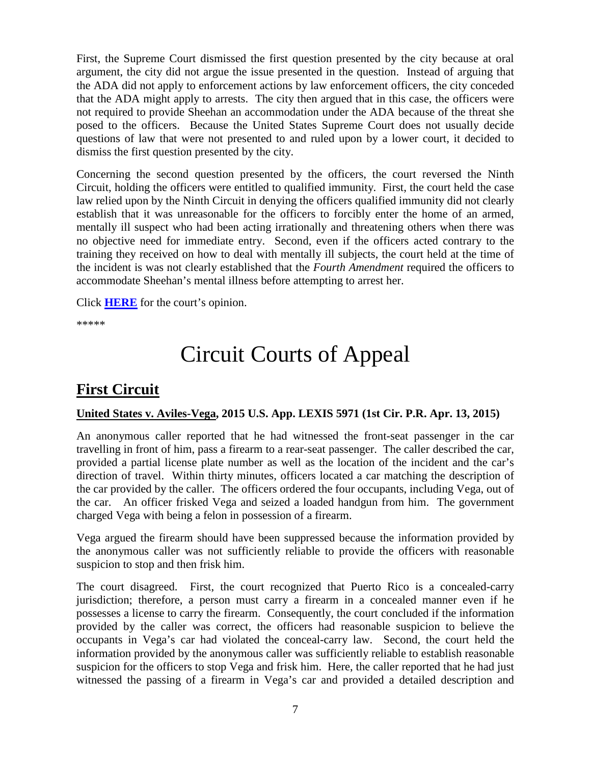First, the Supreme Court dismissed the first question presented by the city because at oral argument, the city did not argue the issue presented in the question. Instead of arguing that the ADA did not apply to enforcement actions by law enforcement officers, the city conceded that the ADA might apply to arrests. The city then argued that in this case, the officers were not required to provide Sheehan an accommodation under the ADA because of the threat she posed to the officers. Because the United States Supreme Court does not usually decide questions of law that were not presented to and ruled upon by a lower court, it decided to dismiss the first question presented by the city.

Concerning the second question presented by the officers, the court reversed the Ninth Circuit, holding the officers were entitled to qualified immunity. First, the court held the case law relied upon by the Ninth Circuit in denying the officers qualified immunity did not clearly establish that it was unreasonable for the officers to forcibly enter the home of an armed, mentally ill suspect who had been acting irrationally and threatening others when there was no objective need for immediate entry. Second, even if the officers acted contrary to the training they received on how to deal with mentally ill subjects, the court held at the time of the incident is was not clearly established that the *Fourth Amendment* required the officers to accommodate Sheehan's mental illness before attempting to arrest her.

Click **[HERE](https://supreme.justia.com/cases/federal/us/575/13-1412/case.pdf)** for the court's opinion.

\*\*\*\*\*

# Circuit Courts of Appeal

# <span id="page-6-0"></span>**First Circuit**

### <span id="page-6-1"></span>**United States v. Aviles-Vega, 2015 U.S. App. LEXIS 5971 (1st Cir. P.R. Apr. 13, 2015)**

An anonymous caller reported that he had witnessed the front-seat passenger in the car travelling in front of him, pass a firearm to a rear-seat passenger. The caller described the car, provided a partial license plate number as well as the location of the incident and the car's direction of travel. Within thirty minutes, officers located a car matching the description of the car provided by the caller. The officers ordered the four occupants, including Vega, out of the car. An officer frisked Vega and seized a loaded handgun from him. The government charged Vega with being a felon in possession of a firearm.

Vega argued the firearm should have been suppressed because the information provided by the anonymous caller was not sufficiently reliable to provide the officers with reasonable suspicion to stop and then frisk him.

The court disagreed. First, the court recognized that Puerto Rico is a concealed-carry jurisdiction; therefore, a person must carry a firearm in a concealed manner even if he possesses a license to carry the firearm. Consequently, the court concluded if the information provided by the caller was correct, the officers had reasonable suspicion to believe the occupants in Vega's car had violated the conceal-carry law. Second, the court held the information provided by the anonymous caller was sufficiently reliable to establish reasonable suspicion for the officers to stop Vega and frisk him. Here, the caller reported that he had just witnessed the passing of a firearm in Vega's car and provided a detailed description and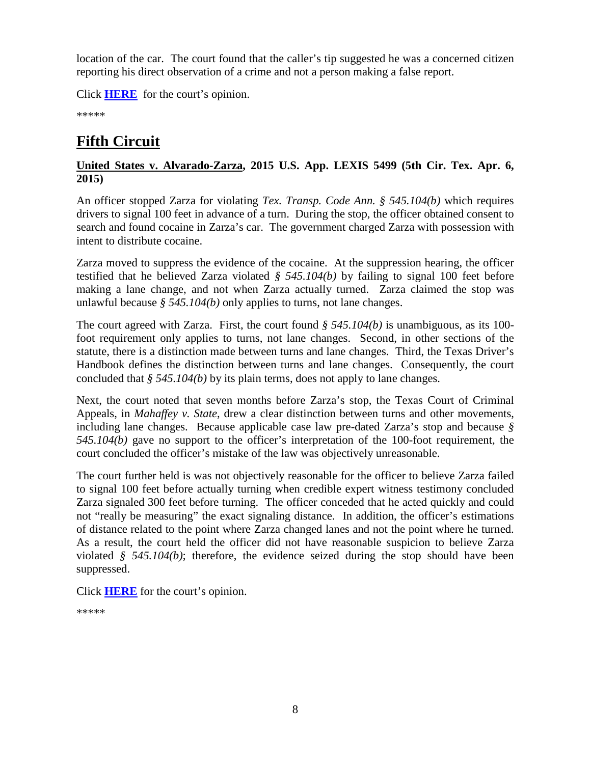location of the car. The court found that the caller's tip suggested he was a concerned citizen reporting his direct observation of a crime and not a person making a false report.

Click **[HERE](http://cases.justia.com/federal/appellate-courts/ca1/13-2362/13-2362-2015-04-13.pdf?ts=1428955206)** for the court's opinion.

\*\*\*\*\*

# <span id="page-7-0"></span>**Fifth Circuit**

### <span id="page-7-1"></span>**United States v. Alvarado-Zarza, 2015 U.S. App. LEXIS 5499 (5th Cir. Tex. Apr. 6, 2015)**

An officer stopped Zarza for violating *Tex. Transp. Code Ann. § 545.104(b)* which requires drivers to signal 100 feet in advance of a turn. During the stop, the officer obtained consent to search and found cocaine in Zarza's car. The government charged Zarza with possession with intent to distribute cocaine.

Zarza moved to suppress the evidence of the cocaine. At the suppression hearing, the officer testified that he believed Zarza violated *§ 545.104(b)* by failing to signal 100 feet before making a lane change, and not when Zarza actually turned. Zarza claimed the stop was unlawful because *§ 545.104(b)* only applies to turns, not lane changes.

The court agreed with Zarza. First, the court found *§ 545.104(b)* is unambiguous, as its 100 foot requirement only applies to turns, not lane changes. Second, in other sections of the statute, there is a distinction made between turns and lane changes. Third, the Texas Driver's Handbook defines the distinction between turns and lane changes. Consequently, the court concluded that *§ 545.104(b)* by its plain terms, does not apply to lane changes.

Next, the court noted that seven months before Zarza's stop, the Texas Court of Criminal Appeals, in *Mahaffey v. State*, drew a clear distinction between turns and other movements, including lane changes. Because applicable case law pre-dated Zarza's stop and because *§ 545.104(b)* gave no support to the officer's interpretation of the 100-foot requirement, the court concluded the officer's mistake of the law was objectively unreasonable.

The court further held is was not objectively reasonable for the officer to believe Zarza failed to signal 100 feet before actually turning when credible expert witness testimony concluded Zarza signaled 300 feet before turning. The officer conceded that he acted quickly and could not "really be measuring" the exact signaling distance. In addition, the officer's estimations of distance related to the point where Zarza changed lanes and not the point where he turned. As a result, the court held the officer did not have reasonable suspicion to believe Zarza violated *§ 545.104(b)*; therefore, the evidence seized during the stop should have been suppressed.

Click **[HERE](http://cases.justia.com/federal/appellate-courts/ca5/13-50745/13-50745-2015-04-06.pdf?ts=1428408054)** for the court's opinion.

\*\*\*\*\*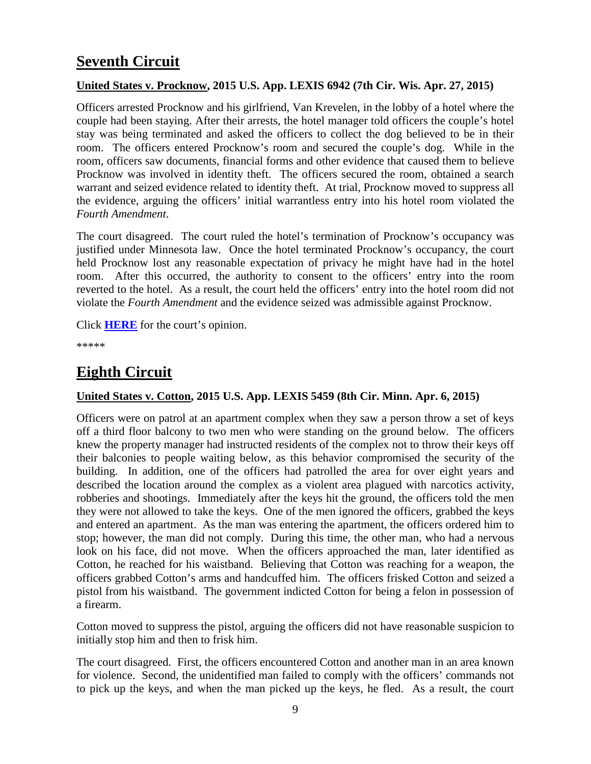# <span id="page-8-0"></span>**Seventh Circuit**

### <span id="page-8-1"></span>**United States v. Procknow, 2015 U.S. App. LEXIS 6942 (7th Cir. Wis. Apr. 27, 2015)**

Officers arrested Procknow and his girlfriend, Van Krevelen, in the lobby of a hotel where the couple had been staying. After their arrests, the hotel manager told officers the couple's hotel stay was being terminated and asked the officers to collect the dog believed to be in their room. The officers entered Procknow's room and secured the couple's dog. While in the room, officers saw documents, financial forms and other evidence that caused them to believe Procknow was involved in identity theft. The officers secured the room, obtained a search warrant and seized evidence related to identity theft. At trial, Procknow moved to suppress all the evidence, arguing the officers' initial warrantless entry into his hotel room violated the *Fourth Amendment*.

The court disagreed. The court ruled the hotel's termination of Procknow's occupancy was justified under Minnesota law. Once the hotel terminated Procknow's occupancy, the court held Procknow lost any reasonable expectation of privacy he might have had in the hotel room. After this occurred, the authority to consent to the officers' entry into the room reverted to the hotel. As a result, the court held the officers' entry into the hotel room did not violate the *Fourth Amendment* and the evidence seized was admissible against Procknow.

Click **[HERE](http://cases.justia.com/federal/appellate-courts/ca7/14-1398/14-1398-2015-04-27.pdf?ts=1430170258)** for the court's opinion.

\*\*\*\*\*

### <span id="page-8-2"></span>**Eighth Circuit**

### <span id="page-8-3"></span>**United States v. Cotton, 2015 U.S. App. LEXIS 5459 (8th Cir. Minn. Apr. 6, 2015)**

Officers were on patrol at an apartment complex when they saw a person throw a set of keys off a third floor balcony to two men who were standing on the ground below. The officers knew the property manager had instructed residents of the complex not to throw their keys off their balconies to people waiting below, as this behavior compromised the security of the building. In addition, one of the officers had patrolled the area for over eight years and described the location around the complex as a violent area plagued with narcotics activity, robberies and shootings. Immediately after the keys hit the ground, the officers told the men they were not allowed to take the keys. One of the men ignored the officers, grabbed the keys and entered an apartment. As the man was entering the apartment, the officers ordered him to stop; however, the man did not comply. During this time, the other man, who had a nervous look on his face, did not move. When the officers approached the man, later identified as Cotton, he reached for his waistband. Believing that Cotton was reaching for a weapon, the officers grabbed Cotton's arms and handcuffed him. The officers frisked Cotton and seized a pistol from his waistband. The government indicted Cotton for being a felon in possession of a firearm.

Cotton moved to suppress the pistol, arguing the officers did not have reasonable suspicion to initially stop him and then to frisk him.

The court disagreed. First, the officers encountered Cotton and another man in an area known for violence. Second, the unidentified man failed to comply with the officers' commands not to pick up the keys, and when the man picked up the keys, he fled. As a result, the court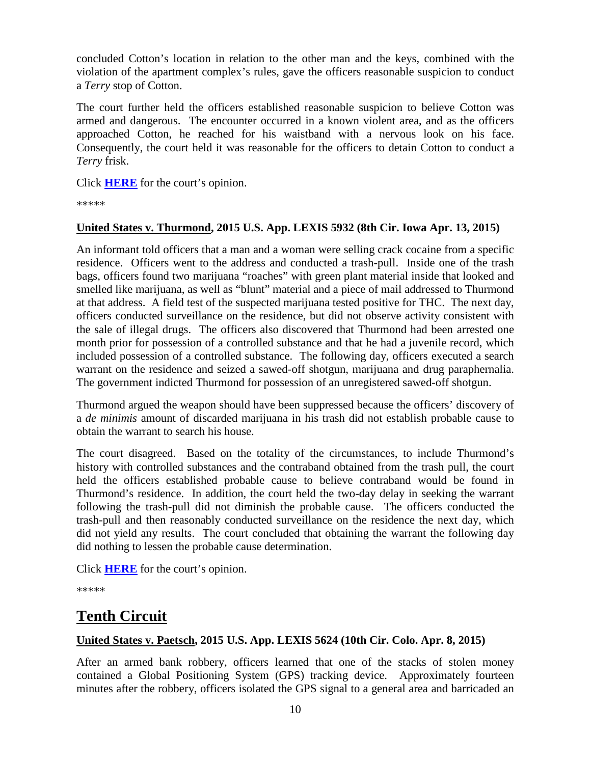concluded Cotton's location in relation to the other man and the keys, combined with the violation of the apartment complex's rules, gave the officers reasonable suspicion to conduct a *Terry* stop of Cotton.

The court further held the officers established reasonable suspicion to believe Cotton was armed and dangerous. The encounter occurred in a known violent area, and as the officers approached Cotton, he reached for his waistband with a nervous look on his face. Consequently, the court held it was reasonable for the officers to detain Cotton to conduct a *Terry* frisk.

Click **[HERE](http://cases.justia.com/federal/appellate-courts/ca8/14-1428/14-1428-2015-04-06.pdf?ts=1428334254)** for the court's opinion.

\*\*\*\*\*

### <span id="page-9-0"></span>**United States v. Thurmond, 2015 U.S. App. LEXIS 5932 (8th Cir. Iowa Apr. 13, 2015)**

An informant told officers that a man and a woman were selling crack cocaine from a specific residence. Officers went to the address and conducted a trash-pull. Inside one of the trash bags, officers found two marijuana "roaches" with green plant material inside that looked and smelled like marijuana, as well as "blunt" material and a piece of mail addressed to Thurmond at that address. A field test of the suspected marijuana tested positive for THC. The next day, officers conducted surveillance on the residence, but did not observe activity consistent with the sale of illegal drugs. The officers also discovered that Thurmond had been arrested one month prior for possession of a controlled substance and that he had a juvenile record, which included possession of a controlled substance. The following day, officers executed a search warrant on the residence and seized a sawed-off shotgun, marijuana and drug paraphernalia. The government indicted Thurmond for possession of an unregistered sawed-off shotgun.

Thurmond argued the weapon should have been suppressed because the officers' discovery of a *de minimis* amount of discarded marijuana in his trash did not establish probable cause to obtain the warrant to search his house.

The court disagreed. Based on the totality of the circumstances, to include Thurmond's history with controlled substances and the contraband obtained from the trash pull, the court held the officers established probable cause to believe contraband would be found in Thurmond's residence. In addition, the court held the two-day delay in seeking the warrant following the trash-pull did not diminish the probable cause. The officers conducted the trash-pull and then reasonably conducted surveillance on the residence the next day, which did not yield any results. The court concluded that obtaining the warrant the following day did nothing to lessen the probable cause determination.

Click **[HERE](http://cases.justia.com/federal/appellate-courts/ca8/14-1944/14-1944-2015-04-13.pdf?ts=1428937283)** for the court's opinion.

\*\*\*\*\*

### <span id="page-9-1"></span>**Tenth Circuit**

### <span id="page-9-2"></span>**United States v. Paetsch, 2015 U.S. App. LEXIS 5624 (10th Cir. Colo. Apr. 8, 2015)**

After an armed bank robbery, officers learned that one of the stacks of stolen money contained a Global Positioning System (GPS) tracking device. Approximately fourteen minutes after the robbery, officers isolated the GPS signal to a general area and barricaded an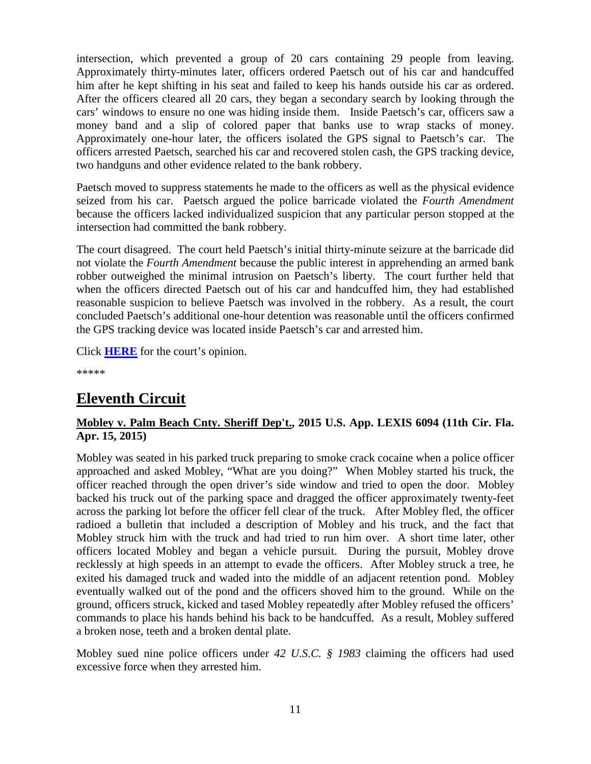intersection, which prevented a group of 20 cars containing 29 people from leaving. Approximately thirty-minutes later, officers ordered Paetsch out of his car and handcuffed him after he kept shifting in his seat and failed to keep his hands outside his car as ordered. After the officers cleared all 20 cars, they began a secondary search by looking through the cars' windows to ensure no one was hiding inside them. Inside Paetsch's car, officers saw a money band and a slip of colored paper that banks use to wrap stacks of money. Approximately one-hour later, the officers isolated the GPS signal to Paetsch's car. The officers arrested Paetsch, searched his car and recovered stolen cash, the GPS tracking device, two handguns and other evidence related to the bank robbery.

Paetsch moved to suppress statements he made to the officers as well as the physical evidence seized from his car. Paetsch argued the police barricade violated the *Fourth Amendment* because the officers lacked individualized suspicion that any particular person stopped at the intersection had committed the bank robbery.

The court disagreed. The court held Paetsch's initial thirty-minute seizure at the barricade did not violate the *Fourth Amendment* because the public interest in apprehending an armed bank robber outweighed the minimal intrusion on Paetsch's liberty. The court further held that when the officers directed Paetsch out of his car and handcuffed him, they had established reasonable suspicion to believe Paetsch was involved in the robbery. As a result, the court concluded Paetsch's additional one-hour detention was reasonable until the officers confirmed the GPS tracking device was located inside Paetsch's car and arrested him.

Click **[HERE](http://cases.justia.com/federal/appellate-courts/ca10/13-1169/13-1169-2015-04-08.pdf?ts=1428508886)** for the court's opinion.

\*\*\*\*\*

# <span id="page-10-0"></span>**Eleventh Circuit**

### <span id="page-10-1"></span>**Mobley v. Palm Beach Cnty. Sheriff Dep't., 2015 U.S. App. LEXIS 6094 (11th Cir. Fla. Apr. 15, 2015)**

Mobley was seated in his parked truck preparing to smoke crack cocaine when a police officer approached and asked Mobley, "What are you doing?" When Mobley started his truck, the officer reached through the open driver's side window and tried to open the door. Mobley backed his truck out of the parking space and dragged the officer approximately twenty-feet across the parking lot before the officer fell clear of the truck. After Mobley fled, the officer radioed a bulletin that included a description of Mobley and his truck, and the fact that Mobley struck him with the truck and had tried to run him over. A short time later, other officers located Mobley and began a vehicle pursuit. During the pursuit, Mobley drove recklessly at high speeds in an attempt to evade the officers. After Mobley struck a tree, he exited his damaged truck and waded into the middle of an adjacent retention pond. Mobley eventually walked out of the pond and the officers shoved him to the ground. While on the ground, officers struck, kicked and tased Mobley repeatedly after Mobley refused the officers' commands to place his hands behind his back to be handcuffed. As a result, Mobley suffered a broken nose, teeth and a broken dental plate.

Mobley sued nine police officers under *42 U.S.C. § 1983* claiming the officers had used excessive force when they arrested him.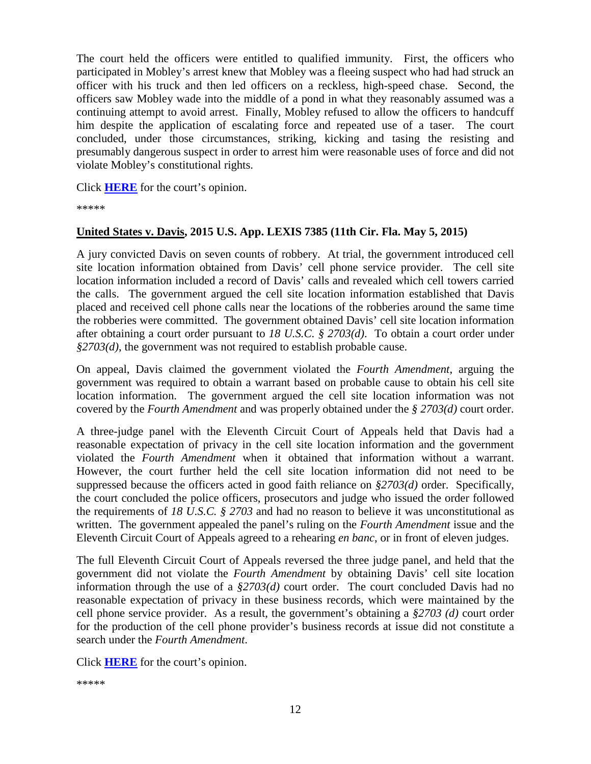The court held the officers were entitled to qualified immunity. First, the officers who participated in Mobley's arrest knew that Mobley was a fleeing suspect who had had struck an officer with his truck and then led officers on a reckless, high-speed chase. Second, the officers saw Mobley wade into the middle of a pond in what they reasonably assumed was a continuing attempt to avoid arrest. Finally, Mobley refused to allow the officers to handcuff him despite the application of escalating force and repeated use of a taser. The court concluded, under those circumstances, striking, kicking and tasing the resisting and presumably dangerous suspect in order to arrest him were reasonable uses of force and did not violate Mobley's constitutional rights.

Click **[HERE](http://cases.justia.com/federal/appellate-courts/ca11/13-11972/13-11972-2015-04-15.pdf?ts=1429113739)** for the court's opinion.

\*\*\*\*\*

#### <span id="page-11-0"></span>**United States v. Davis, 2015 U.S. App. LEXIS 7385 (11th Cir. Fla. May 5, 2015)**

A jury convicted Davis on seven counts of robbery. At trial, the government introduced cell site location information obtained from Davis' cell phone service provider. The cell site location information included a record of Davis' calls and revealed which cell towers carried the calls. The government argued the cell site location information established that Davis placed and received cell phone calls near the locations of the robberies around the same time the robberies were committed. The government obtained Davis' cell site location information after obtaining a court order pursuant to *18 U.S.C. § 2703(d)*. To obtain a court order under *§2703(d)*, the government was not required to establish probable cause.

On appeal, Davis claimed the government violated the *Fourth Amendment*, arguing the government was required to obtain a warrant based on probable cause to obtain his cell site location information. The government argued the cell site location information was not covered by the *Fourth Amendment* and was properly obtained under the *§ 2703(d)* court order.

A three-judge panel with the Eleventh Circuit Court of Appeals held that Davis had a reasonable expectation of privacy in the cell site location information and the government violated the *Fourth Amendment* when it obtained that information without a warrant. However, the court further held the cell site location information did not need to be suppressed because the officers acted in good faith reliance on *§2703(d)* order. Specifically, the court concluded the police officers, prosecutors and judge who issued the order followed the requirements of *18 U.S.C. § 2703* and had no reason to believe it was unconstitutional as written. The government appealed the panel's ruling on the *Fourth Amendment* issue and the Eleventh Circuit Court of Appeals agreed to a rehearing *en banc*, or in front of eleven judges.

The full Eleventh Circuit Court of Appeals reversed the three judge panel, and held that the government did not violate the *Fourth Amendment* by obtaining Davis' cell site location information through the use of a *§2703(d)* court order. The court concluded Davis had no reasonable expectation of privacy in these business records, which were maintained by the cell phone service provider. As a result, the government's obtaining a *§2703 (d)* court order for the production of the cell phone provider's business records at issue did not constitute a search under the *Fourth Amendment*.

Click **[HERE](http://cases.justia.com/federal/appellate-courts/ca11/12-12928/12-12928-2015-05-05.pdf?ts=1430834472)** for the court's opinion.

\*\*\*\*\*